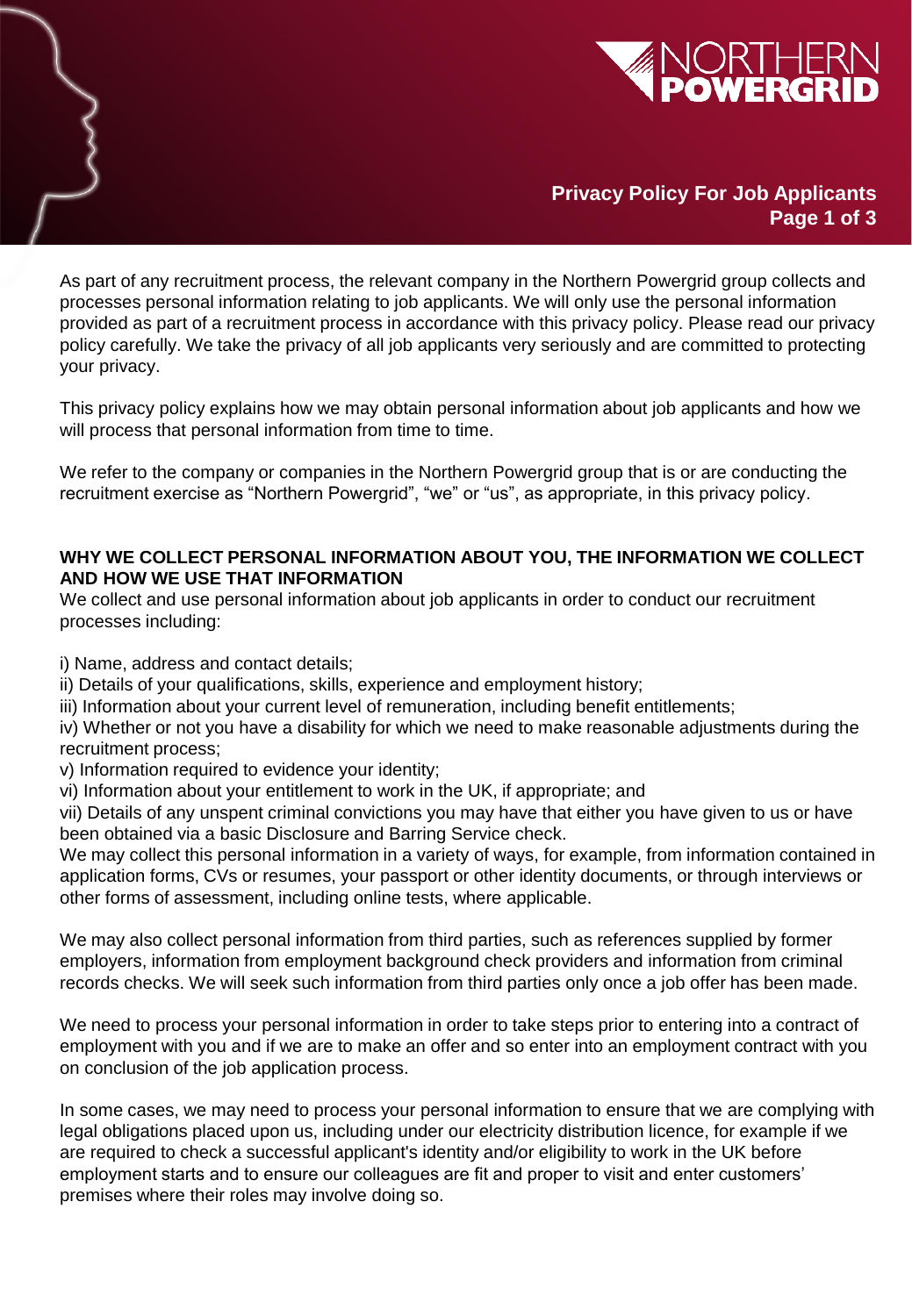

# **Privacy Policy For Job Applicants Page 1 of 3**

As part of any recruitment process, the relevant company in the Northern Powergrid group collects and processes personal information relating to job applicants. We will only use the personal information provided as part of a recruitment process in accordance with this privacy policy. Please read our privacy policy carefully. We take the privacy of all job applicants very seriously and are committed to protecting your privacy.

This privacy policy explains how we may obtain personal information about job applicants and how we will process that personal information from time to time.

We refer to the company or companies in the Northern Powergrid group that is or are conducting the recruitment exercise as "Northern Powergrid", "we" or "us", as appropriate, in this privacy policy.

### **WHY WE COLLECT PERSONAL INFORMATION ABOUT YOU, THE INFORMATION WE COLLECT AND HOW WE USE THAT INFORMATION**

We collect and use personal information about job applicants in order to conduct our recruitment processes including:

- i) Name, address and contact details;
- ii) Details of your qualifications, skills, experience and employment history;
- iii) Information about your current level of remuneration, including benefit entitlements;

iv) Whether or not you have a disability for which we need to make reasonable adjustments during the recruitment process;

- v) Information required to evidence your identity;
- vi) Information about your entitlement to work in the UK, if appropriate; and

vii) Details of any unspent criminal convictions you may have that either you have given to us or have been obtained via a basic Disclosure and Barring Service check.

We may collect this personal information in a variety of ways, for example, from information contained in application forms, CVs or resumes, your passport or other identity documents, or through interviews or other forms of assessment, including online tests, where applicable.

We may also collect personal information from third parties, such as references supplied by former employers, information from employment background check providers and information from criminal records checks. We will seek such information from third parties only once a job offer has been made.

We need to process your personal information in order to take steps prior to entering into a contract of employment with you and if we are to make an offer and so enter into an employment contract with you on conclusion of the job application process.

premises where their roles may involve doing so. In some cases, we may need to process your personal information to ensure that we are complying with legal obligations placed upon us, including under our electricity distribution licence, for example if we are required to check a successful applicant's identity and/or eligibility to work in the UK before employment starts and to ensure our colleagues are fit and proper to visit and enter customers'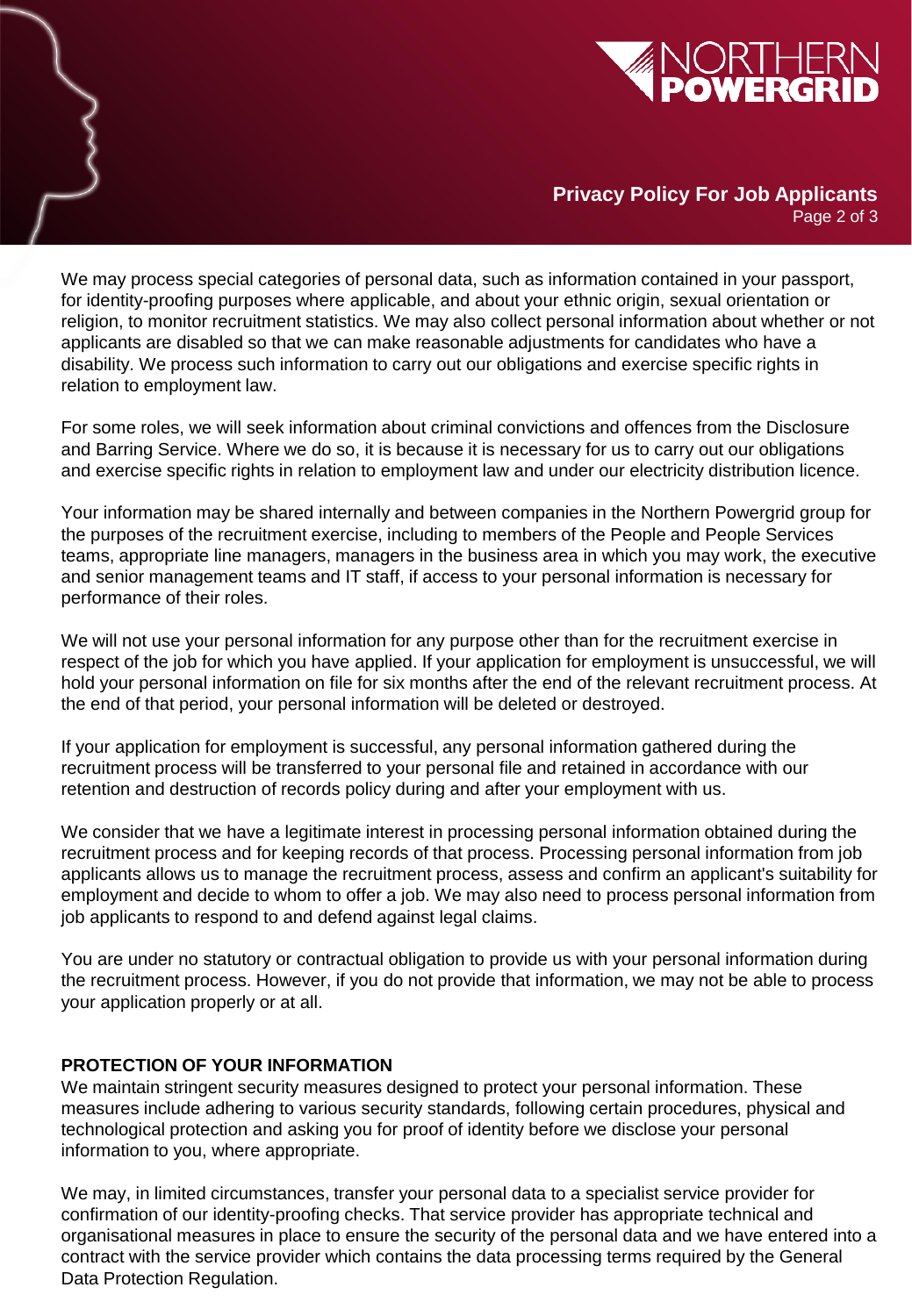

# **Privacy Policy For Job Applicants**

Page 2 of 3

We may process special categories of personal data, such as information contained in your passport, for identity-proofing purposes where applicable, and about your ethnic origin, sexual orientation or religion, to monitor recruitment statistics. We may also collect personal information about whether or not applicants are disabled so that we can make reasonable adjustments for candidates who have a disability. We process such information to carry out our obligations and exercise specific rights in relation to employment law.

For some roles, we will seek information about criminal convictions and offences from the Disclosure and Barring Service. Where we do so, it is because it is necessary for us to carry out our obligations and exercise specific rights in relation to employment law and under our electricity distribution licence.

Your information may be shared internally and between companies in the Northern Powergrid group for the purposes of the recruitment exercise, including to members of the People and People Services teams, appropriate line managers, managers in the business area in which you may work, the executive and senior management teams and IT staff, if access to your personal information is necessary for performance of their roles.

We will not use your personal information for any purpose other than for the recruitment exercise in respect of the job for which you have applied. If your application for employment is unsuccessful, we will hold your personal information on file for six months after the end of the relevant recruitment process. At the end of that period, your personal information will be deleted or destroyed.

If your application for employment is successful, any personal information gathered during the recruitment process will be transferred to your personal file and retained in accordance with our retention and destruction of records policy during and after your employment with us.

We consider that we have a legitimate interest in processing personal information obtained during the recruitment process and for keeping records of that process. Processing personal information from job applicants allows us to manage the recruitment process, assess and confirm an applicant's suitability for employment and decide to whom to offer a job. We may also need to process personal information from job applicants to respond to and defend against legal claims.

You are under no statutory or contractual obligation to provide us with your personal information during the recruitment process. However, if you do not provide that information, we may not be able to process your application properly or at all.

## **PROTECTION OF YOUR INFORMATION**

We maintain stringent security measures designed to protect your personal information. These measures include adhering to various security standards, following certain procedures, physical and technological protection and asking you for proof of identity before we disclose your personal information to you, where appropriate.

We may, in limited circumstances, transfer your personal data to a specialist service provider for<br>confirmation of our identity procting chocks. That service provider has appropriate technical and organisational measures in place to ensure the security of the personal data and we have entered into a<br>contract with the service provider which contains the data presenting terms required by the Concrete confirmation of our identity-proofing checks. That service provider has appropriate technical and contract with the service provider which contains the data processing terms required by the General Data Protection Regulation.